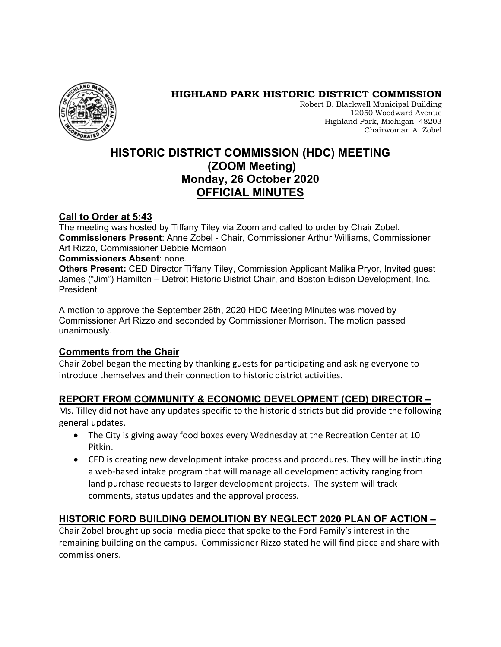

#### **HIGHLAND PARK HISTORIC DISTRICT COMMISSION**

Robert B. Blackwell Municipal Building 12050 Woodward Avenue Highland Park, Michigan 48203 Chairwoman A. Zobel

# **HISTORIC DISTRICT COMMISSION (HDC) MEETING (ZOOM Meeting) Monday, 26 October 2020 OFFICIAL MINUTES**

#### **Call to Order at 5:43**

The meeting was hosted by Tiffany Tiley via Zoom and called to order by Chair Zobel. **Commissioners Present**: Anne Zobel - Chair, Commissioner Arthur Williams, Commissioner Art Rizzo, Commissioner Debbie Morrison

#### **Commissioners Absent**: none.

**Others Present:** CED Director Tiffany Tiley, Commission Applicant Malika Pryor, Invited guest James ("Jim") Hamilton – Detroit Historic District Chair, and Boston Edison Development, Inc. President.

A motion to approve the September 26th, 2020 HDC Meeting Minutes was moved by Commissioner Art Rizzo and seconded by Commissioner Morrison. The motion passed unanimously.

#### **Comments from the Chair**

Chair Zobel began the meeting by thanking guests for participating and asking everyone to introduce themselves and their connection to historic district activities.

# **REPORT FROM COMMUNITY & ECONOMIC DEVELOPMENT (CED) DIRECTOR –**

Ms. Tilley did not have any updates specific to the historic districts but did provide the following general updates.

- The City is giving away food boxes every Wednesday at the Recreation Center at 10 Pitkin.
- CED is creating new development intake process and procedures. They will be instituting a web-based intake program that will manage all development activity ranging from land purchase requests to larger development projects. The system will track comments, status updates and the approval process.

# **HISTORIC FORD BUILDING DEMOLITION BY NEGLECT 2020 PLAN OF ACTION –**

Chair Zobel brought up social media piece that spoke to the Ford Family's interest in the remaining building on the campus. Commissioner Rizzo stated he will find piece and share with commissioners.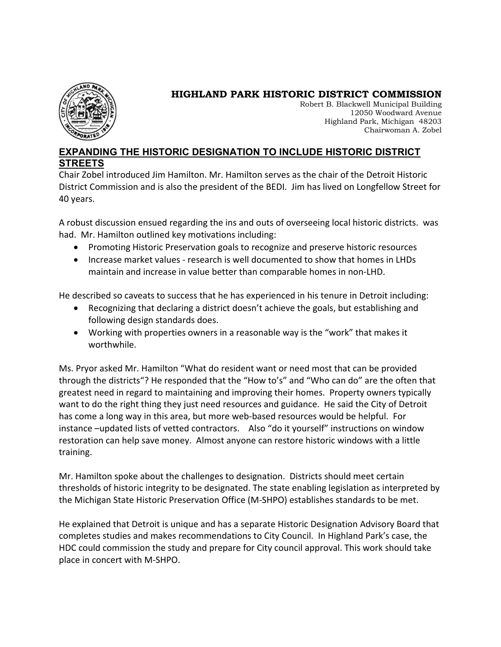

# **HIGHLAND PARK HISTORIC DISTRICT COMMISSION**

Robert B. Blackwell Municipal Building 12050 Woodward Avenue Highland Park, Michigan 48203 Chairwoman A. Zobel

#### **EXPANDING THE HISTORIC DESIGNATION TO INCLUDE HISTORIC DISTRICT STREETS**

Chair Zobel introduced Jim Hamilton. Mr. Hamilton serves as the chair of the Detroit Historic District Commission and is also the president of the BEDI. Jim has lived on Longfellow Street for 40 years.

A robust discussion ensued regarding the ins and outs of overseeing local historic districts. was had. Mr. Hamilton outlined key motivations including:

- Promoting Historic Preservation goals to recognize and preserve historic resources
- Increase market values research is well documented to show that homes in LHDs maintain and increase in value better than comparable homes in non-LHD.

He described so caveats to success that he has experienced in his tenure in Detroit including:

- Recognizing that declaring a district doesn't achieve the goals, but establishing and following design standards does.
- Working with properties owners in a reasonable way is the "work" that makes it worthwhile.

Ms. Pryor asked Mr. Hamilton "What do resident want or need most that can be provided through the districts"? He responded that the "How to's" and "Who can do" are the often that greatest need in regard to maintaining and improving their homes. Property owners typically want to do the right thing they just need resources and guidance. He said the City of Detroit has come a long way in this area, but more web-based resources would be helpful. For instance –updated lists of vetted contractors. Also "do it yourself" instructions on window restoration can help save money. Almost anyone can restore historic windows with a little training.

Mr. Hamilton spoke about the challenges to designation. Districts should meet certain thresholds of historic integrity to be designated. The state enabling legislation as interpreted by the Michigan State Historic Preservation Office (M-SHPO) establishes standards to be met.

He explained that Detroit is unique and has a separate Historic Designation Advisory Board that completes studies and makes recommendations to City Council. In Highland Park's case, the HDC could commission the study and prepare for City council approval. This work should take place in concert with M-SHPO.